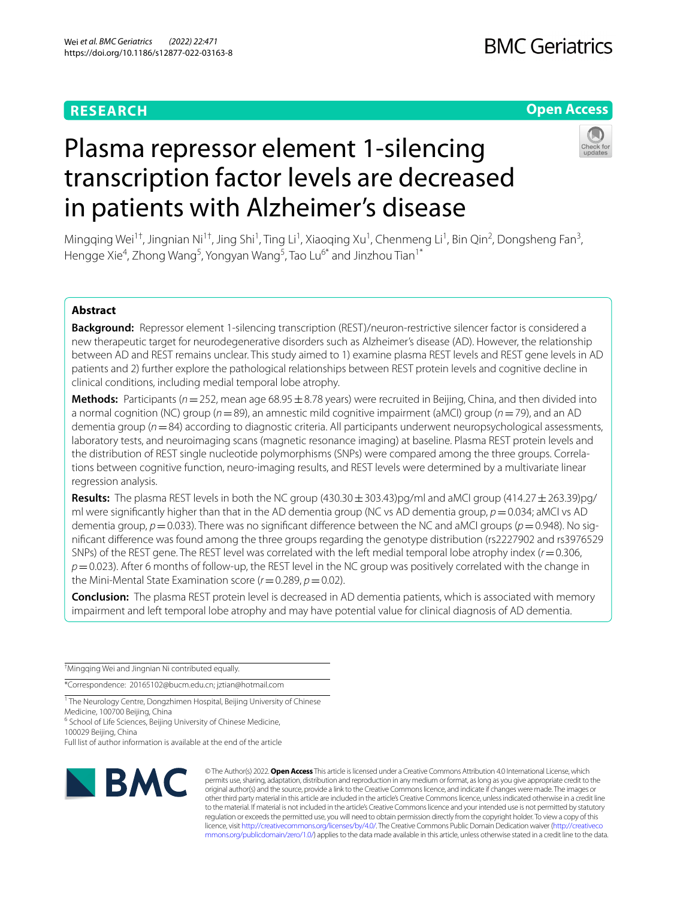# **RESEARCH**

# **Open Access**



# Plasma repressor element 1-silencing transcription factor levels are decreased in patients with Alzheimer's disease

Mingqing Wei<sup>1†</sup>, Jingnian Ni<sup>1†</sup>, Jing Shi<sup>1</sup>, Ting Li<sup>1</sup>, Xiaoqing Xu<sup>1</sup>, Chenmeng Li<sup>1</sup>, Bin Qin<sup>2</sup>, Dongsheng Fan<sup>3</sup>, Hengge Xie<sup>4</sup>, Zhong Wang<sup>5</sup>, Yongyan Wang<sup>5</sup>, Tao Lu<sup>6\*</sup> and Jinzhou Tian<sup>1\*</sup>

# **Abstract**

**Background:** Repressor element 1-silencing transcription (REST)/neuron-restrictive silencer factor is considered a new therapeutic target for neurodegenerative disorders such as Alzheimer's disease (AD). However, the relationship between AD and REST remains unclear. This study aimed to 1) examine plasma REST levels and REST gene levels in AD patients and 2) further explore the pathological relationships between REST protein levels and cognitive decline in clinical conditions, including medial temporal lobe atrophy.

**Methods:** Participants ( $n=252$ , mean age 68.95  $\pm$  8.78 years) were recruited in Beijing, China, and then divided into a normal cognition (NC) group (*n*=89), an amnestic mild cognitive impairment (aMCI) group (*n*=79), and an AD dementia group ( $n=84$ ) according to diagnostic criteria. All participants underwent neuropsychological assessments, laboratory tests, and neuroimaging scans (magnetic resonance imaging) at baseline. Plasma REST protein levels and the distribution of REST single nucleotide polymorphisms (SNPs) were compared among the three groups. Correlations between cognitive function, neuro-imaging results, and REST levels were determined by a multivariate linear regression analysis.

**Results:** The plasma REST levels in both the NC group (430.30 $\pm$ 303.43)pg/ml and aMCI group (414.27 $\pm$ 263.39)pg/ ml were significantly higher than that in the AD dementia group (NC vs AD dementia group,  $p=0.034$ ; aMCI vs AD dementia group, *p*=0.033). There was no significant difference between the NC and aMCI groups (*p*=0.948). No signifcant diference was found among the three groups regarding the genotype distribution (rs2227902 and rs3976529 SNPs) of the REST gene. The REST level was correlated with the left medial temporal lobe atrophy index (*r*=0.306, *p*=0.023). After 6 months of follow-up, the REST level in the NC group was positively correlated with the change in the Mini-Mental State Examination score  $(r=0.289, p=0.02)$ .

**Conclusion:** The plasma REST protein level is decreased in AD dementia patients, which is associated with memory impairment and left temporal lobe atrophy and may have potential value for clinical diagnosis of AD dementia.

† Mingqing Wei and Jingnian Ni contributed equally.

\*Correspondence: 20165102@bucm.edu.cn; jztian@hotmail.com

<sup>1</sup> The Neurology Centre, Dongzhimen Hospital, Beijing University of Chinese Medicine, 100700 Beijing, China

<sup>6</sup> School of Life Sciences, Beijing University of Chinese Medicine,

100029 Beijing, China

Full list of author information is available at the end of the article



© The Author(s) 2022. **Open Access** This article is licensed under a Creative Commons Attribution 4.0 International License, which permits use, sharing, adaptation, distribution and reproduction in any medium or format, as long as you give appropriate credit to the original author(s) and the source, provide a link to the Creative Commons licence, and indicate if changes were made. The images or other third party material in this article are included in the article's Creative Commons licence, unless indicated otherwise in a credit line to the material. If material is not included in the article's Creative Commons licence and your intended use is not permitted by statutory regulation or exceeds the permitted use, you will need to obtain permission directly from the copyright holder. To view a copy of this licence, visit [http://creativecommons.org/licenses/by/4.0/.](http://creativecommons.org/licenses/by/4.0/) The Creative Commons Public Domain Dedication waiver ([http://creativeco](http://creativecommons.org/publicdomain/zero/1.0/) [mmons.org/publicdomain/zero/1.0/](http://creativecommons.org/publicdomain/zero/1.0/)) applies to the data made available in this article, unless otherwise stated in a credit line to the data.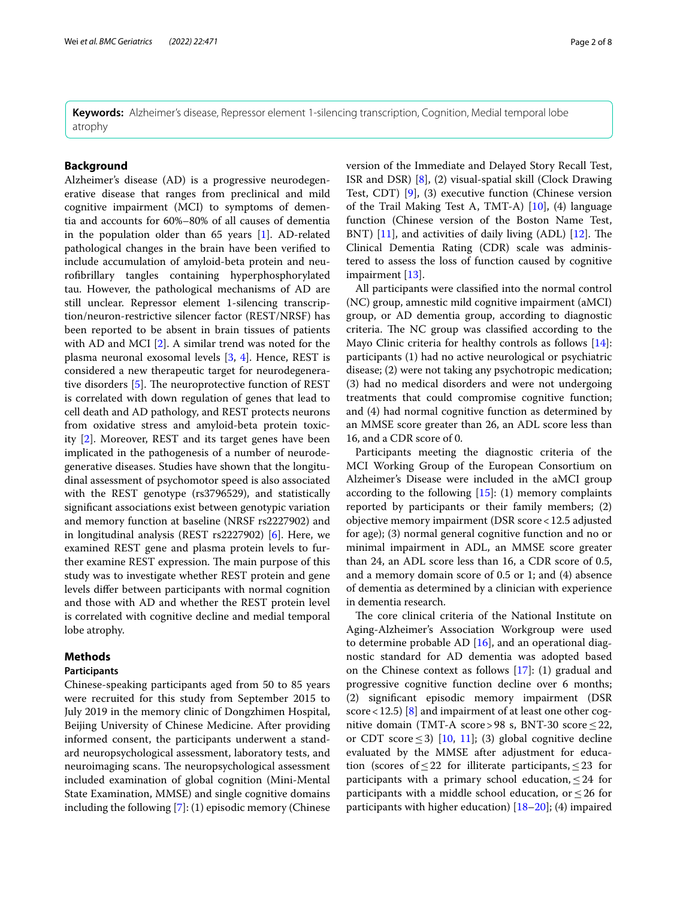**Keywords:** Alzheimer's disease, Repressor element 1-silencing transcription, Cognition, Medial temporal lobe atrophy

# **Background**

Alzheimer's disease (AD) is a progressive neurodegenerative disease that ranges from preclinical and mild cognitive impairment (MCI) to symptoms of dementia and accounts for 60%–80% of all causes of dementia in the population older than 65 years [[1](#page-6-0)]. AD-related pathological changes in the brain have been verifed to include accumulation of amyloid-beta protein and neurofbrillary tangles containing hyperphosphorylated tau. However, the pathological mechanisms of AD are still unclear. Repressor element 1-silencing transcription/neuron-restrictive silencer factor (REST/NRSF) has been reported to be absent in brain tissues of patients with AD and MCI [[2\]](#page-6-1). A similar trend was noted for the plasma neuronal exosomal levels [[3,](#page-6-2) [4](#page-6-3)]. Hence, REST is considered a new therapeutic target for neurodegenerative disorders  $[5]$  $[5]$  $[5]$ . The neuroprotective function of REST is correlated with down regulation of genes that lead to cell death and AD pathology, and REST protects neurons from oxidative stress and amyloid-beta protein toxicity [\[2\]](#page-6-1). Moreover, REST and its target genes have been implicated in the pathogenesis of a number of neurodegenerative diseases. Studies have shown that the longitudinal assessment of psychomotor speed is also associated with the REST genotype (rs3796529), and statistically signifcant associations exist between genotypic variation and memory function at baseline (NRSF rs2227902) and in longitudinal analysis (REST rs2227902) [\[6](#page-6-5)]. Here, we examined REST gene and plasma protein levels to further examine REST expression. The main purpose of this study was to investigate whether REST protein and gene levels difer between participants with normal cognition and those with AD and whether the REST protein level is correlated with cognitive decline and medial temporal lobe atrophy.

# **Methods**

# **Participants**

Chinese-speaking participants aged from 50 to 85 years were recruited for this study from September 2015 to July 2019 in the memory clinic of Dongzhimen Hospital, Beijing University of Chinese Medicine. After providing informed consent, the participants underwent a standard neuropsychological assessment, laboratory tests, and neuroimaging scans. The neuropsychological assessment included examination of global cognition (Mini-Mental State Examination, MMSE) and single cognitive domains including the following [[7\]](#page-6-6): (1) episodic memory (Chinese version of the Immediate and Delayed Story Recall Test, ISR and DSR) [[8\]](#page-6-7), (2) visual-spatial skill (Clock Drawing Test, CDT) [[9\]](#page-6-8), (3) executive function (Chinese version of the Trail Making Test A, TMT-A)  $[10]$ ,  $(4)$  language function (Chinese version of the Boston Name Test, BNT)  $[11]$  $[11]$ , and activities of daily living (ADL)  $[12]$  $[12]$  $[12]$ . The Clinical Dementia Rating (CDR) scale was administered to assess the loss of function caused by cognitive impairment [[13](#page-6-12)].

All participants were classifed into the normal control (NC) group, amnestic mild cognitive impairment (aMCI) group, or AD dementia group, according to diagnostic criteria. The NC group was classified according to the Mayo Clinic criteria for healthy controls as follows [\[14](#page-6-13)]: participants (1) had no active neurological or psychiatric disease; (2) were not taking any psychotropic medication; (3) had no medical disorders and were not undergoing treatments that could compromise cognitive function; and (4) had normal cognitive function as determined by an MMSE score greater than 26, an ADL score less than 16, and a CDR score of 0.

Participants meeting the diagnostic criteria of the MCI Working Group of the European Consortium on Alzheimer's Disease were included in the aMCI group according to the following  $[15]$  $[15]$  $[15]$ : (1) memory complaints reported by participants or their family members; (2) objective memory impairment (DSR score<12.5 adjusted for age); (3) normal general cognitive function and no or minimal impairment in ADL, an MMSE score greater than 24, an ADL score less than 16, a CDR score of 0.5, and a memory domain score of 0.5 or 1; and (4) absence of dementia as determined by a clinician with experience in dementia research.

The core clinical criteria of the National Institute on Aging-Alzheimer's Association Workgroup were used to determine probable AD  $[16]$  $[16]$  $[16]$ , and an operational diagnostic standard for AD dementia was adopted based on the Chinese context as follows [[17\]](#page-6-16): (1) gradual and progressive cognitive function decline over 6 months; (2) signifcant episodic memory impairment (DSR score < 12.5) [[8\]](#page-6-7) and impairment of at least one other cognitive domain (TMT-A score>98 s, BNT-30 score  $\leq$  22, or CDT score  $\leq$ 3) [[10,](#page-6-9) [11\]](#page-6-10); (3) global cognitive decline evaluated by the MMSE after adjustment for education (scores of  $\leq$  22 for illiterate participants,  $\leq$  23 for participants with a primary school education,  $\leq$  24 for participants with a middle school education, or  $\leq 26$  for participants with higher education) [[18–](#page-6-17)[20](#page-7-0)]; (4) impaired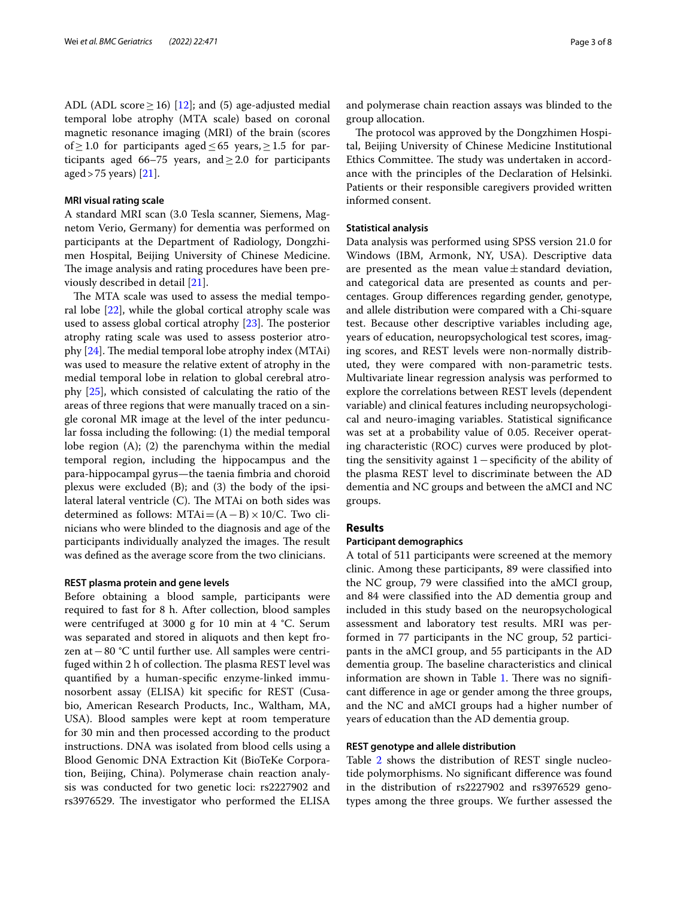ADL (ADL score  $\geq$  16) [[12](#page-6-11)]; and (5) age-adjusted medial temporal lobe atrophy (MTA scale) based on coronal magnetic resonance imaging (MRI) of the brain (scores of ≥ 1.0 for participants aged  $\leq$  65 years, ≥ 1.5 for participants aged 66–75 years, and  $\geq$  2.0 for participants aged>75 years) [\[21](#page-7-1)].

#### **MRI visual rating scale**

A standard MRI scan (3.0 Tesla scanner, Siemens, Magnetom Verio, Germany) for dementia was performed on participants at the Department of Radiology, Dongzhimen Hospital, Beijing University of Chinese Medicine. The image analysis and rating procedures have been previously described in detail [\[21](#page-7-1)].

The MTA scale was used to assess the medial temporal lobe [[22\]](#page-7-2), while the global cortical atrophy scale was used to assess global cortical atrophy  $[23]$  $[23]$  $[23]$ . The posterior atrophy rating scale was used to assess posterior atrophy  $[24]$ . The medial temporal lobe atrophy index (MTAi) was used to measure the relative extent of atrophy in the medial temporal lobe in relation to global cerebral atrophy [\[25](#page-7-5)], which consisted of calculating the ratio of the areas of three regions that were manually traced on a single coronal MR image at the level of the inter peduncular fossa including the following: (1) the medial temporal lobe region (A); (2) the parenchyma within the medial temporal region, including the hippocampus and the para-hippocampal gyrus—the taenia fmbria and choroid plexus were excluded (B); and (3) the body of the ipsilateral lateral ventricle  $(C)$ . The MTAi on both sides was determined as follows: MTAi= $(A - B) \times 10/C$ . Two clinicians who were blinded to the diagnosis and age of the participants individually analyzed the images. The result was defned as the average score from the two clinicians.

## **REST plasma protein and gene levels**

Before obtaining a blood sample, participants were required to fast for 8 h. After collection, blood samples were centrifuged at 3000 g for 10 min at 4 °C. Serum was separated and stored in aliquots and then kept frozen at−80 °C until further use. All samples were centrifuged within 2 h of collection. The plasma REST level was quantifed by a human-specifc enzyme-linked immunosorbent assay (ELISA) kit specifc for REST (Cusabio, American Research Products, Inc., Waltham, MA, USA). Blood samples were kept at room temperature for 30 min and then processed according to the product instructions. DNA was isolated from blood cells using a Blood Genomic DNA Extraction Kit (BioTeKe Corporation, Beijing, China). Polymerase chain reaction analysis was conducted for two genetic loci: rs2227902 and rs3976529. The investigator who performed the ELISA

and polymerase chain reaction assays was blinded to the group allocation.

The protocol was approved by the Dongzhimen Hospital, Beijing University of Chinese Medicine Institutional Ethics Committee. The study was undertaken in accordance with the principles of the Declaration of Helsinki. Patients or their responsible caregivers provided written informed consent.

# **Statistical analysis**

Data analysis was performed using SPSS version 21.0 for Windows (IBM, Armonk, NY, USA). Descriptive data are presented as the mean value $\pm$ standard deviation, and categorical data are presented as counts and percentages. Group diferences regarding gender, genotype, and allele distribution were compared with a Chi-square test. Because other descriptive variables including age, years of education, neuropsychological test scores, imaging scores, and REST levels were non-normally distributed, they were compared with non-parametric tests. Multivariate linear regression analysis was performed to explore the correlations between REST levels (dependent variable) and clinical features including neuropsychological and neuro-imaging variables. Statistical signifcance was set at a probability value of 0.05. Receiver operating characteristic (ROC) curves were produced by plotting the sensitivity against 1−specifcity of the ability of the plasma REST level to discriminate between the AD dementia and NC groups and between the aMCI and NC groups.

# **Results**

## **Participant demographics**

A total of 511 participants were screened at the memory clinic. Among these participants, 89 were classifed into the NC group, 79 were classifed into the aMCI group, and 84 were classifed into the AD dementia group and included in this study based on the neuropsychological assessment and laboratory test results. MRI was performed in 77 participants in the NC group, 52 participants in the aMCI group, and 55 participants in the AD dementia group. The baseline characteristics and clinical information are shown in Table [1](#page-3-0). There was no significant diference in age or gender among the three groups, and the NC and aMCI groups had a higher number of years of education than the AD dementia group.

#### **REST genotype and allele distribution**

Table [2](#page-3-1) shows the distribution of REST single nucleotide polymorphisms. No signifcant diference was found in the distribution of rs2227902 and rs3976529 genotypes among the three groups. We further assessed the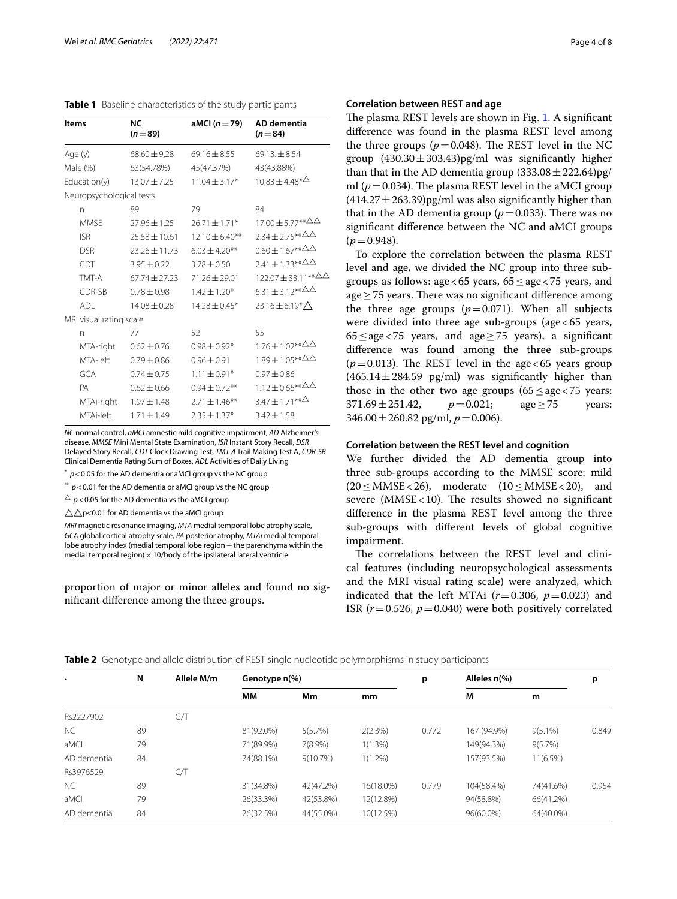<span id="page-3-0"></span>

| <b>Items</b>             | <b>NC</b>         | aMCI $(n=79)$       | AD dementia                                |  |  |
|--------------------------|-------------------|---------------------|--------------------------------------------|--|--|
|                          | $(n=89)$          |                     | $(n=84)$                                   |  |  |
| Age (y)                  | $68.60 \pm 9.28$  | $69.16 \pm 8.55$    | $69.13 \pm 8.54$                           |  |  |
| Male (%)                 | 63(54.78%)        | 45(47.37%)          | 43(43.88%)                                 |  |  |
| Education(y)             | $13.07 \pm 7.25$  | $11.04 \pm 3.17*$   | $10.83 \pm 4.48^{\ast \Delta}$             |  |  |
| Neuropsychological tests |                   |                     |                                            |  |  |
| n                        | 89                | 79                  | 84                                         |  |  |
| <b>MMSF</b>              | $27.96 \pm 1.25$  | $26.71 \pm 1.71*$   | 17.00 ± 5.77**△△                           |  |  |
| <b>ISR</b>               | $25.58 \pm 10.61$ | $12.10 \pm 6.40$ ** | $2.34 \pm 2.75***^{\triangle}\triangle$    |  |  |
| <b>DSR</b>               | $23.26 \pm 11.73$ | $6.03 \pm 4.20$ **  | $0.60 \pm 1.67**^{\Delta\Delta}$           |  |  |
| <b>CDT</b>               | $3.95 \pm 0.22$   | $3.78 \pm 0.50$     | $2.41 \pm 1.33***^{\triangle}\triangle$    |  |  |
| TMT-A                    | $67.74 + 27.23$   | $71.26 \pm 29.01$   | $122.07 \pm 33.11***^{\triangle}\triangle$ |  |  |
| CDR-SB                   | $0.78 + 0.98$     | $1.42 \pm 1.20*$    | $6.31 \pm 3.12***^{\triangle}\triangle$    |  |  |
| ADI                      | $14.08 + 0.28$    | $14.28 \pm 0.45*$   | 23.16 ± 6.19 $*$ $\triangle$               |  |  |
| MRI visual rating scale  |                   |                     |                                            |  |  |
| n                        | 77                | 52                  | 55                                         |  |  |
| MTA-right                | $0.62 \pm 0.76$   | $0.98 \pm 0.92*$    | $1.76 \pm 1.02***^{\triangle}\triangle$    |  |  |
| MTA-left                 | $0.79 \pm 0.86$   | $0.96 \pm 0.91$     | $1.89 \pm 1.05***^{\triangle}\triangle$    |  |  |
| GCA                      | $0.74 \pm 0.75$   | $1.11 \pm 0.91*$    | $0.97 \pm 0.86$                            |  |  |
| PA                       | $0.62 \pm 0.66$   | $0.94 \pm 0.72$ **  |                                            |  |  |
| MTAi-right               | $1.97 \pm 1.48$   | $2.71 \pm 1.46***$  | $3.47 \pm 1.71***^{\Delta}$                |  |  |
| MTAi-left                | $1.71 \pm 1.49$   | $2.35 \pm 1.37*$    | $3.42 \pm 1.58$                            |  |  |
|                          |                   |                     |                                            |  |  |

*NC* normal control, *aMCI* amnestic mild cognitive impairment, *AD* Alzheimer's disease, *MMSE* Mini Mental State Examination, *ISR* Instant Story Recall, *DSR* Delayed Story Recall, *CDT* Clock Drawing Test, *TMT-A* Trail Making Test A, *CDR-SB* Clinical Dementia Rating Sum of Boxes, *ADL* Activities of Daily Living

\* *p*<0.05 for the AD dementia or aMCI group vs the NC group

 $*$   $p$  < 0.01 for the AD dementia or aMCI group vs the NC group

 $\Delta p$  < 0.05 for the AD dementia vs the aMCI group

 $\wedge$   $\wedge$  p<0.01 for AD dementia vs the aMCI group

*MRI* magnetic resonance imaging, *MTA* medial temporal lobe atrophy scale, *GCA* global cortical atrophy scale, *PA* posterior atrophy, *MTAi* medial temporal lobe atrophy index (medial temporal lobe region−the parenchyma within the medial temporal region)  $\times$  10/body of the ipsilateral lateral ventricle

proportion of major or minor alleles and found no signifcant diference among the three groups.

# **Correlation between REST and age**

The plasma REST levels are shown in Fig. [1](#page-4-0). A significant diference was found in the plasma REST level among the three groups  $(p=0.048)$ . The REST level in the NC group  $(430.30 \pm 303.43)$ pg/ml was significantly higher than that in the AD dementia group  $(333.08 \pm 222.64)$ pg/ ml ( $p = 0.034$ ). The plasma REST level in the aMCI group  $(414.27 \pm 263.39)$ pg/ml was also significantly higher than that in the AD dementia group ( $p=0.033$ ). There was no signifcant diference between the NC and aMCI groups  $(p=0.948)$ .

To explore the correlation between the plasma REST level and age, we divided the NC group into three subgroups as follows: age<65 years, 65≤age<75 years, and age  $>$  75 years. There was no significant difference among the three age groups  $(p=0.071)$ . When all subjects were divided into three age sub-groups (age<65 years, 65≤age<75 years, and age≥75 years), a signifcant diference was found among the three sub-groups  $(p=0.013)$ . The REST level in the age <65 years group  $(465.14 \pm 284.59 \text{ pg/ml})$  was significantly higher than those in the other two age groups (65  $\leq$  age  $\lt$  75 years:<br>371.69  $\pm$  251.42,  $p = 0.021$ ; age  $\geq$  75 years:  $371.69 \pm 251.42,$  $346.00 \pm 260.82$  pg/ml,  $p = 0.006$ ).

## **Correlation between the REST level and cognition**

We further divided the AD dementia group into three sub-groups according to the MMSE score: mild  $(20 \leq \text{MMSE} < 26)$ , moderate  $(10 \leq \text{MMSE} < 20)$ , and severe ( $MMSE < 10$ ). The results showed no significant diference in the plasma REST level among the three sub-groups with diferent levels of global cognitive impairment.

The correlations between the REST level and clinical features (including neuropsychological assessments and the MRI visual rating scale) were analyzed, which indicated that the left MTAi  $(r=0.306, p=0.023)$  and ISR  $(r=0.526, p=0.040)$  were both positively correlated

<span id="page-3-1"></span>

| Table 2 Genotype and allele distribution of REST single nucleotide polymorphisms in study participants |  |  |  |
|--------------------------------------------------------------------------------------------------------|--|--|--|
|                                                                                                        |  |  |  |

|             | N  | Allele M/m | Genotype n(%) |            | p          | Alleles n(%) |             | p          |       |
|-------------|----|------------|---------------|------------|------------|--------------|-------------|------------|-------|
|             |    |            | MМ            | Мm         | mm         |              | M           | m          |       |
| Rs2227902   |    | G/T        |               |            |            |              |             |            |       |
| NC.         | 89 |            | 81(92.0%)     | 5(5.7%)    | 2(2.3%)    | 0.772        | 167 (94.9%) | $9(5.1\%)$ | 0.849 |
| aMCI        | 79 |            | 71(89.9%)     | $7(8.9\%)$ | $1(1.3\%)$ |              | 149(94.3%)  | $9(5.7\%)$ |       |
| AD dementia | 84 |            | 74(88.1%)     | 9(10.7%)   | $1(1.2\%)$ |              | 157(93.5%)  | 11(6.5%)   |       |
| Rs3976529   |    | CЛ         |               |            |            |              |             |            |       |
| <b>NC</b>   | 89 |            | 31(34.8%)     | 42(47.2%)  | 16(18.0%)  | 0.779        | 104(58.4%)  | 74(41.6%)  | 0.954 |
| aMCI        | 79 |            | 26(33.3%)     | 42(53.8%)  | 12(12.8%)  |              | 94(58.8%)   | 66(41.2%)  |       |
| AD dementia | 84 |            | 26(32.5%)     | 44(55.0%)  | 10(12.5%)  |              | 96(60.0%)   | 64(40.0%)  |       |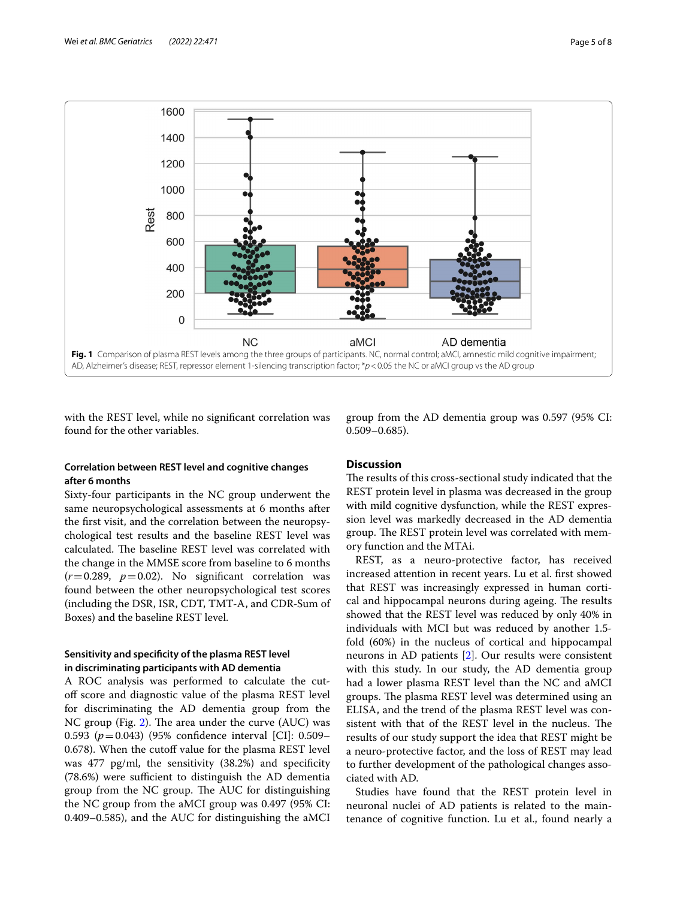

<span id="page-4-0"></span>with the REST level, while no signifcant correlation was found for the other variables.

# **Correlation between REST level and cognitive changes after 6 months**

Sixty-four participants in the NC group underwent the same neuropsychological assessments at 6 months after the frst visit, and the correlation between the neuropsychological test results and the baseline REST level was calculated. The baseline REST level was correlated with the change in the MMSE score from baseline to 6 months  $(r=0.289, p=0.02)$ . No significant correlation was found between the other neuropsychological test scores (including the DSR, ISR, CDT, TMT-A, and CDR-Sum of Boxes) and the baseline REST level.

# **Sensitivity and specifcity of the plasma REST level in discriminating participants with AD dementia**

A ROC analysis was performed to calculate the cutof score and diagnostic value of the plasma REST level for discriminating the AD dementia group from the NC group (Fig. [2\)](#page-5-0). The area under the curve (AUC) was 0.593 (*p*=0.043) (95% confdence interval [CI]: 0.509– 0.678). When the cutoff value for the plasma REST level was 477 pg/ml, the sensitivity (38.2%) and specifcity  $(78.6%)$  were sufficient to distinguish the AD dementia group from the NC group. The AUC for distinguishing the NC group from the aMCI group was 0.497 (95% CI: 0.409–0.585), and the AUC for distinguishing the aMCI

group from the AD dementia group was 0.597 (95% CI: 0.509–0.685).

# **Discussion**

The results of this cross-sectional study indicated that the REST protein level in plasma was decreased in the group with mild cognitive dysfunction, while the REST expression level was markedly decreased in the AD dementia group. The REST protein level was correlated with memory function and the MTAi.

REST, as a neuro-protective factor, has received increased attention in recent years. Lu et al. frst showed that REST was increasingly expressed in human cortical and hippocampal neurons during ageing. The results showed that the REST level was reduced by only 40% in individuals with MCI but was reduced by another 1.5 fold (60%) in the nucleus of cortical and hippocampal neurons in AD patients [[2\]](#page-6-1). Our results were consistent with this study. In our study, the AD dementia group had a lower plasma REST level than the NC and aMCI groups. The plasma REST level was determined using an ELISA, and the trend of the plasma REST level was consistent with that of the REST level in the nucleus. The results of our study support the idea that REST might be a neuro-protective factor, and the loss of REST may lead to further development of the pathological changes associated with AD.

Studies have found that the REST protein level in neuronal nuclei of AD patients is related to the maintenance of cognitive function. Lu et al., found nearly a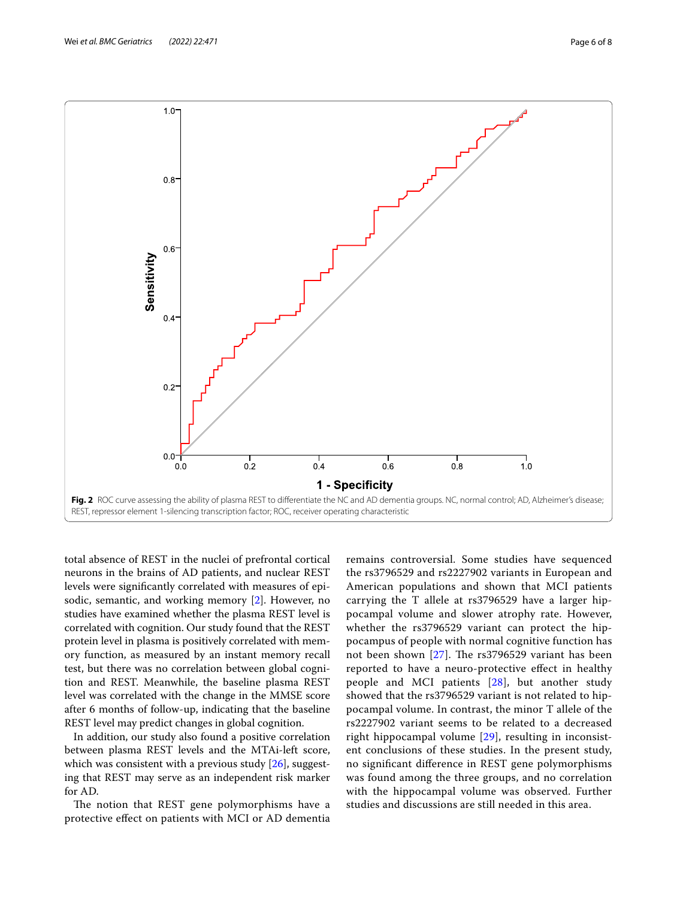

<span id="page-5-0"></span>total absence of REST in the nuclei of prefrontal cortical neurons in the brains of AD patients, and nuclear REST levels were signifcantly correlated with measures of episodic, semantic, and working memory [[2\]](#page-6-1). However, no studies have examined whether the plasma REST level is correlated with cognition. Our study found that the REST protein level in plasma is positively correlated with memory function, as measured by an instant memory recall test, but there was no correlation between global cognition and REST. Meanwhile, the baseline plasma REST level was correlated with the change in the MMSE score after 6 months of follow-up, indicating that the baseline REST level may predict changes in global cognition.

In addition, our study also found a positive correlation between plasma REST levels and the MTAi-left score, which was consistent with a previous study [\[26](#page-7-6)], suggesting that REST may serve as an independent risk marker for AD.

The notion that REST gene polymorphisms have a protective efect on patients with MCI or AD dementia remains controversial. Some studies have sequenced the rs3796529 and rs2227902 variants in European and American populations and shown that MCI patients carrying the T allele at rs3796529 have a larger hippocampal volume and slower atrophy rate. However, whether the rs3796529 variant can protect the hippocampus of people with normal cognitive function has not been shown  $[27]$  $[27]$ . The rs3796529 variant has been reported to have a neuro-protective efect in healthy people and MCI patients [[28\]](#page-7-8), but another study showed that the rs3796529 variant is not related to hippocampal volume. In contrast, the minor T allele of the rs2227902 variant seems to be related to a decreased right hippocampal volume [\[29](#page-7-9)], resulting in inconsistent conclusions of these studies. In the present study, no signifcant diference in REST gene polymorphisms was found among the three groups, and no correlation with the hippocampal volume was observed. Further studies and discussions are still needed in this area.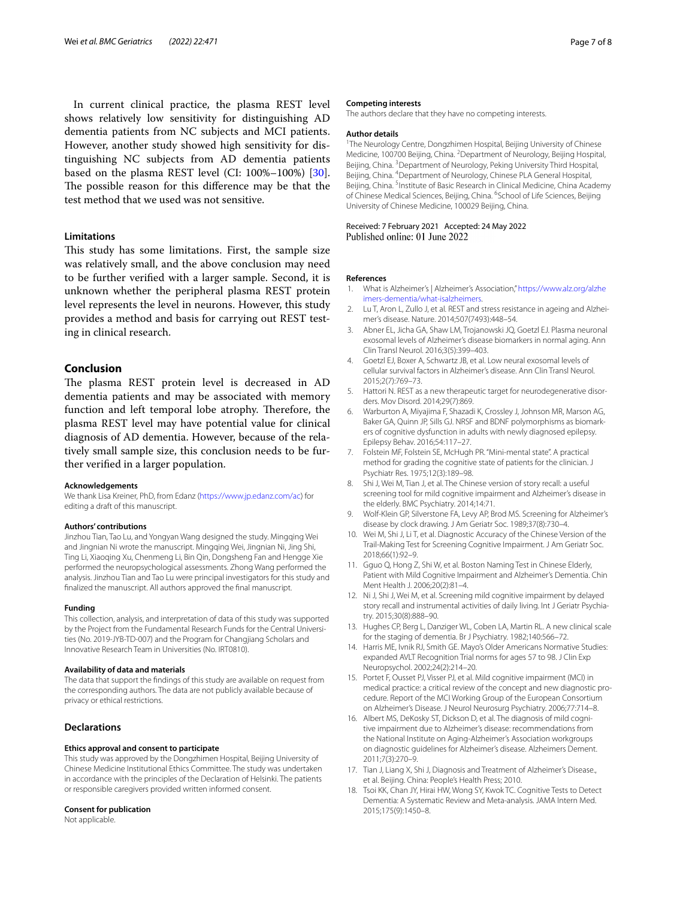In current clinical practice, the plasma REST level shows relatively low sensitivity for distinguishing AD dementia patients from NC subjects and MCI patients. However, another study showed high sensitivity for distinguishing NC subjects from AD dementia patients based on the plasma REST level (CI: 100%–100%) [\[30](#page-7-10)]. The possible reason for this difference may be that the test method that we used was not sensitive.

## **Limitations**

This study has some limitations. First, the sample size was relatively small, and the above conclusion may need to be further verifed with a larger sample. Second, it is unknown whether the peripheral plasma REST protein level represents the level in neurons. However, this study provides a method and basis for carrying out REST testing in clinical research.

## **Conclusion**

The plasma REST protein level is decreased in AD dementia patients and may be associated with memory function and left temporal lobe atrophy. Therefore, the plasma REST level may have potential value for clinical diagnosis of AD dementia. However, because of the relatively small sample size, this conclusion needs to be further verifed in a larger population.

#### **Acknowledgements**

We thank Lisa Kreiner, PhD, from Edanz ([https://www.jp.edanz.com/ac\)](https://www.jp.edanz.com/ac) for editing a draft of this manuscript.

#### **Authors' contributions**

Jinzhou Tian, Tao Lu, and Yongyan Wang designed the study. Mingqing Wei and Jingnian Ni wrote the manuscript. Mingqing Wei, Jingnian Ni, Jing Shi, Ting Li, Xiaoqing Xu, Chenmeng Li, Bin Qin, Dongsheng Fan and Hengge Xie performed the neuropsychological assessments. Zhong Wang performed the analysis. Jinzhou Tian and Tao Lu were principal investigators for this study and fnalized the manuscript. All authors approved the fnal manuscript.

#### **Funding**

This collection, analysis, and interpretation of data of this study was supported by the Project from the Fundamental Research Funds for the Central Universities (No. 2019-JYB-TD-007) and the Program for Changjiang Scholars and Innovative Research Team in Universities (No. IRT0810).

#### **Availability of data and materials**

The data that support the fndings of this study are available on request from the corresponding authors. The data are not publicly available because of privacy or ethical restrictions.

#### **Declarations**

#### **Ethics approval and consent to participate**

This study was approved by the Dongzhimen Hospital, Beijing University of Chinese Medicine Institutional Ethics Committee. The study was undertaken in accordance with the principles of the Declaration of Helsinki. The patients or responsible caregivers provided written informed consent.

#### **Consent for publication**

Not applicable.

#### **Competing interests**

The authors declare that they have no competing interests.

#### **Author details**

<sup>1</sup>The Neurology Centre, Dongzhimen Hospital, Beijing University of Chinese Medicine, 100700 Beijing, China. <sup>2</sup> Department of Neurology, Beijing Hospital, Beijing, China. <sup>3</sup> Department of Neurology, Peking University Third Hospital, Beijing, China. 4 Department of Neurology, Chinese PLA General Hospital, Beijing, China. <sup>5</sup> Institute of Basic Research in Clinical Medicine, China Academy of Chinese Medical Sciences, Beijing, China. <sup>6</sup>School of Life Sciences, Beijing University of Chinese Medicine, 100029 Beijing, China.

Received: 7 February 2021 Accepted: 24 May 2022<br>Published online: 01 June 2022

#### **References**

- <span id="page-6-0"></span>1. What is Alzheimer's | Alzheimer's Association," [https://www.alz.org/alzhe](https://www.alz.org/alzheimers-dementia/what-isalzheimers) [imers-dementia/what-isalzheimers.](https://www.alz.org/alzheimers-dementia/what-isalzheimers)
- <span id="page-6-1"></span>2. Lu T, Aron L, Zullo J, et al. REST and stress resistance in ageing and Alzheimer's disease. Nature. 2014;507(7493):448–54.
- <span id="page-6-2"></span>3. Abner EL, Jicha GA, Shaw LM, Trojanowski JQ, Goetzl EJ. Plasma neuronal exosomal levels of Alzheimer's disease biomarkers in normal aging. Ann Clin Transl Neurol. 2016;3(5):399–403.
- <span id="page-6-3"></span>4. Goetzl EJ, Boxer A, Schwartz JB, et al. Low neural exosomal levels of cellular survival factors in Alzheimer's disease. Ann Clin Transl Neurol. 2015;2(7):769–73.
- <span id="page-6-4"></span>5. Hattori N. REST as a new therapeutic target for neurodegenerative disorders. Mov Disord. 2014;29(7):869.
- <span id="page-6-5"></span>6. Warburton A, Miyajima F, Shazadi K, Crossley J, Johnson MR, Marson AG, Baker GA, Quinn JP, Sills GJ. NRSF and BDNF polymorphisms as biomarkers of cognitive dysfunction in adults with newly diagnosed epilepsy. Epilepsy Behav. 2016;54:117–27.
- <span id="page-6-6"></span>7. Folstein MF, Folstein SE, McHugh PR. "Mini-mental state". A practical method for grading the cognitive state of patients for the clinician. J Psychiatr Res. 1975;12(3):189–98.
- <span id="page-6-7"></span>8. Shi J, Wei M, Tian J, et al. The Chinese version of story recall: a useful screening tool for mild cognitive impairment and Alzheimer's disease in the elderly. BMC Psychiatry. 2014;14:71.
- <span id="page-6-8"></span>9. Wolf-Klein GP, Silverstone FA, Levy AP, Brod MS. Screening for Alzheimer's disease by clock drawing. J Am Geriatr Soc. 1989;37(8):730–4.
- <span id="page-6-9"></span>10. Wei M, Shi J, Li T, et al. Diagnostic Accuracy of the Chinese Version of the Trail-Making Test for Screening Cognitive Impairment. J Am Geriatr Soc. 2018;66(1):92–9.
- <span id="page-6-10"></span>11. Gguo Q, Hong Z, Shi W, et al. Boston Naming Test in Chinese Elderly, Patient with Mild Cognitive Impairment and Alzheimer's Dementia. Chin Ment Health J. 2006;20(2):81–4.
- <span id="page-6-11"></span>12. Ni J, Shi J, Wei M, et al. Screening mild cognitive impairment by delayed story recall and instrumental activities of daily living. Int J Geriatr Psychiatry. 2015;30(8):888–90.
- <span id="page-6-12"></span>13. Hughes CP, Berg L, Danziger WL, Coben LA, Martin RL. A new clinical scale for the staging of dementia. Br J Psychiatry. 1982;140:566–72.
- <span id="page-6-13"></span>14. Harris ME, Ivnik RJ, Smith GE. Mayo's Older Americans Normative Studies: expanded AVLT Recognition Trial norms for ages 57 to 98. J Clin Exp Neuropsychol. 2002;24(2):214–20.
- <span id="page-6-14"></span>15. Portet F, Ousset PJ, Visser PJ, et al. Mild cognitive impairment (MCI) in medical practice: a critical review of the concept and new diagnostic procedure. Report of the MCI Working Group of the European Consortium on Alzheimer's Disease. J Neurol Neurosurg Psychiatry. 2006;77:714–8.
- <span id="page-6-15"></span>16. Albert MS, DeKosky ST, Dickson D, et al. The diagnosis of mild cognitive impairment due to Alzheimer's disease: recommendations from the National Institute on Aging-Alzheimer's Association workgroups on diagnostic guidelines for Alzheimer's disease. Alzheimers Dement. 2011;7(3):270–9.
- <span id="page-6-16"></span>17. Tian J, Liang X, Shi J, Diagnosis and Treatment of Alzheimer's Disease., et al. Beijing. China: People's Health Press; 2010.
- <span id="page-6-17"></span>18. Tsoi KK, Chan JY, Hirai HW, Wong SY, Kwok TC. Cognitive Tests to Detect Dementia: A Systematic Review and Meta-analysis. JAMA Intern Med. 2015;175(9):1450–8.